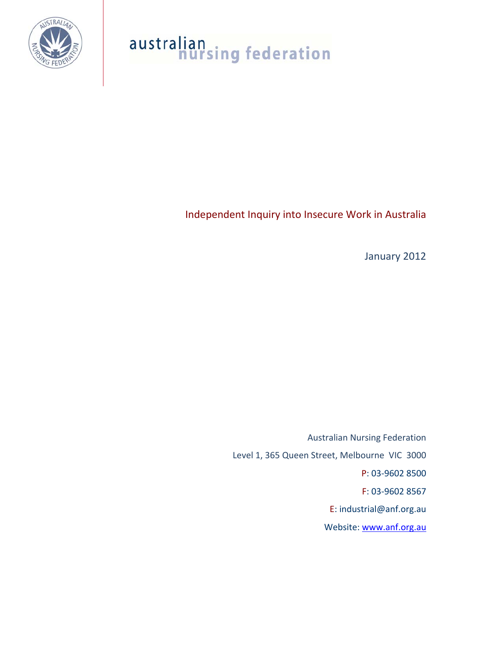

# australian<br>nursing federation

Independent Inquiry into Insecure Work in Australia

January 2012

Australian Nursing Federation Level 1, 365 Queen Street, Melbourne VIC 3000 P: 03‐9602 8500 F: 03‐9602 8567 E: industrial@anf.org.au Website: www.anf.org.au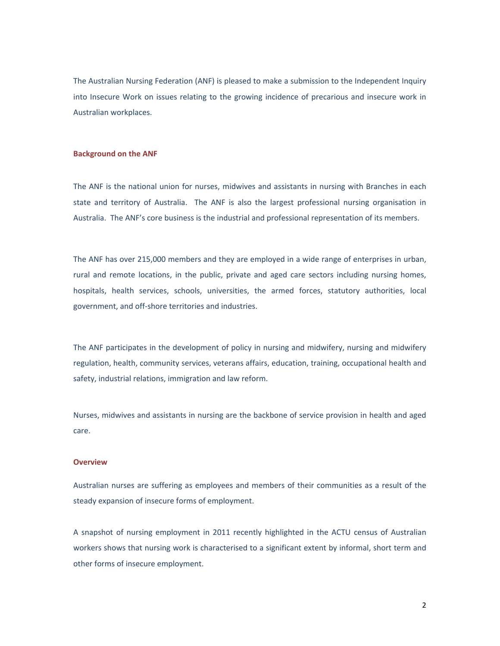The Australian Nursing Federation (ANF) is pleased to make a submission to the Independent Inquiry into Insecure Work on issues relating to the growing incidence of precarious and insecure work in Australian workplaces.

#### **Background on the ANF**

The ANF is the national union for nurses, midwives and assistants in nursing with Branches in each state and territory of Australia. The ANF is also the largest professional nursing organisation in Australia. The ANF's core business is the industrial and professional representation of its members.

The ANF has over 215,000 members and they are employed in a wide range of enterprises in urban, rural and remote locations, in the public, private and aged care sectors including nursing homes, hospitals, health services, schools, universities, the armed forces, statutory authorities, local government, and off‐shore territories and industries.

The ANF participates in the development of policy in nursing and midwifery, nursing and midwifery regulation, health, community services, veterans affairs, education, training, occupational health and safety, industrial relations, immigration and law reform.

Nurses, midwives and assistants in nursing are the backbone of service provision in health and aged care.

#### **Overview**

Australian nurses are suffering as employees and members of their communities as a result of the steady expansion of insecure forms of employment.

A snapshot of nursing employment in 2011 recently highlighted in the ACTU census of Australian workers shows that nursing work is characterised to a significant extent by informal, short term and other forms of insecure employment.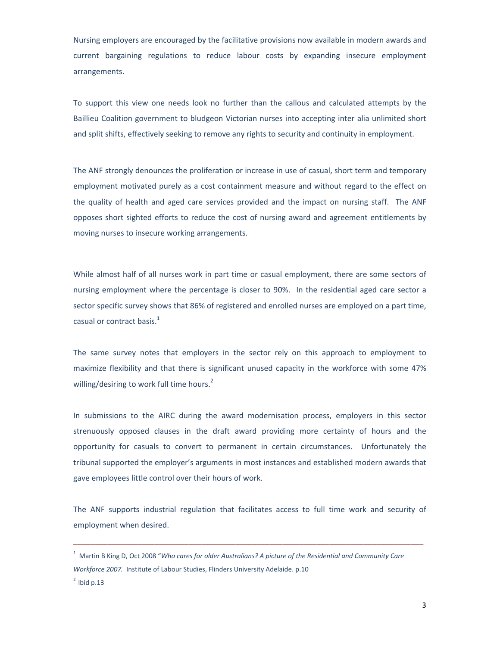Nursing employers are encouraged by the facilitative provisions now available in modern awards and current bargaining regulations to reduce labour costs by expanding insecure employment arrangements.

To support this view one needs look no further than the callous and calculated attempts by the Baillieu Coalition government to bludgeon Victorian nurses into accepting inter alia unlimited short and split shifts, effectively seeking to remove any rights to security and continuity in employment.

The ANF strongly denounces the proliferation or increase in use of casual, short term and temporary employment motivated purely as a cost containment measure and without regard to the effect on the quality of health and aged care services provided and the impact on nursing staff. The ANF opposes short sighted efforts to reduce the cost of nursing award and agreement entitlements by moving nurses to insecure working arrangements.

While almost half of all nurses work in part time or casual employment, there are some sectors of nursing employment where the percentage is closer to 90%. In the residential aged care sector a sector specific survey shows that 86% of registered and enrolled nurses are employed on a part time, casual or contract basis. $<sup>1</sup>$ </sup>

The same survey notes that employers in the sector rely on this approach to employment to maximize flexibility and that there is significant unused capacity in the workforce with some 47% willing/desiring to work full time hours.<sup>2</sup>

In submissions to the AIRC during the award modernisation process, employers in this sector strenuously opposed clauses in the draft award providing more certainty of hours and the opportunity for casuals to convert to permanent in certain circumstances. Unfortunately the tribunal supported the employer's arguments in most instances and established modern awards that gave employees little control over their hours of work.

The ANF supports industrial regulation that facilitates access to full time work and security of employment when desired.

\_\_\_\_\_\_\_\_\_\_\_\_\_\_\_\_\_\_\_\_\_\_\_\_\_\_\_\_\_\_\_\_\_\_\_\_\_\_\_\_\_\_\_\_\_\_\_\_\_\_\_\_\_\_\_\_\_\_\_\_\_\_\_\_\_\_\_\_\_\_\_\_\_\_\_\_\_\_\_\_\_\_

<sup>1</sup> Martin B King D, Oct 2008 "*Who cares for older Australians? A picture of the Residential and Community Care Workforce 2007.* Institute of Labour Studies, Flinders University Adelaide. p.10

 $<sup>2</sup>$  lbid p.13</sup>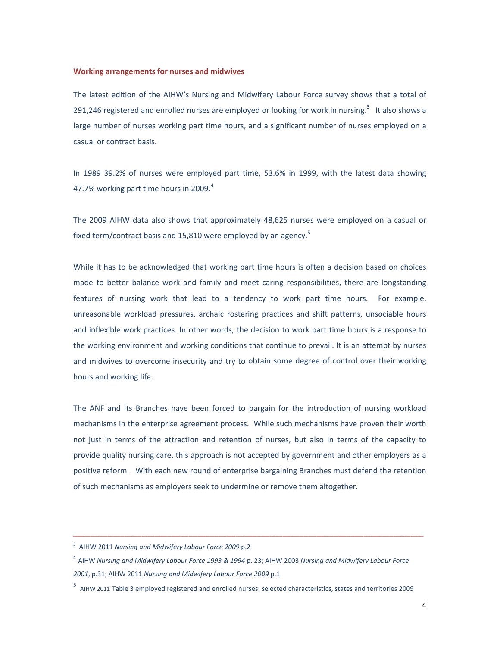#### **Working arrangements for nurses and midwives**

The latest edition of the AIHW's Nursing and Midwifery Labour Force survey shows that a total of 291,246 registered and enrolled nurses are employed or looking for work in nursing.<sup>3</sup> It also shows a large number of nurses working part time hours, and a significant number of nurses employed on a casual or contract basis.

In 1989 39.2% of nurses were employed part time, 53.6% in 1999, with the latest data showing 47.7% working part time hours in 2009.<sup>4</sup>

The 2009 AIHW data also shows that approximately 48,625 nurses were employed on a casual or fixed term/contract basis and 15,810 were employed by an agency.<sup>5</sup>

While it has to be acknowledged that working part time hours is often a decision based on choices made to better balance work and family and meet caring responsibilities, there are longstanding features of nursing work that lead to a tendency to work part time hours. For example, unreasonable workload pressures, archaic rostering practices and shift patterns, unsociable hours and inflexible work practices. In other words, the decision to work part time hours is a response to the working environment and working conditions that continue to prevail. It is an attempt by nurses and midwives to overcome insecurity and try to obtain some degree of control over their working hours and working life.

The ANF and its Branches have been forced to bargain for the introduction of nursing workload mechanisms in the enterprise agreement process. While such mechanisms have proven their worth not just in terms of the attraction and retention of nurses, but also in terms of the capacity to provide quality nursing care, this approach is not accepted by government and other employers as a positive reform. With each new round of enterprise bargaining Branches must defend the retention of such mechanisms as employers seek to undermine or remove them altogether.

\_\_\_\_\_\_\_\_\_\_\_\_\_\_\_\_\_\_\_\_\_\_\_\_\_\_\_\_\_\_\_\_\_\_\_\_\_\_\_\_\_\_\_\_\_\_\_\_\_\_\_\_\_\_\_\_\_\_\_\_\_\_\_\_\_\_\_\_\_\_\_\_\_\_\_\_\_\_\_\_\_\_

<sup>3</sup> AIHW 2011 *Nursing and Midwifery Labour Force 2009* p.2

<sup>4</sup> AIHW *Nursing and Midwifery Labour Force 1993 & 1994* p. 23; AIHW 2003 *Nursing and Midwifery Labour Force 2001*, p.31; AIHW 2011 *Nursing and Midwifery Labour Force 2009* p.1

<sup>&</sup>lt;sup>5</sup> AIHW 2011 Table 3 employed registered and enrolled nurses: selected characteristics, states and territories 2009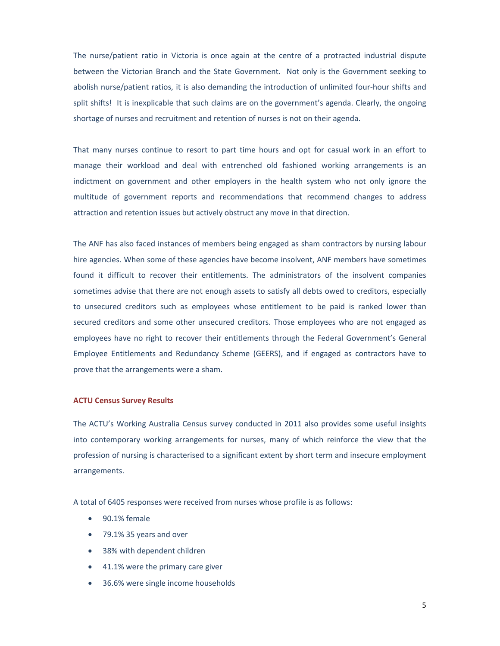The nurse/patient ratio in Victoria is once again at the centre of a protracted industrial dispute between the Victorian Branch and the State Government. Not only is the Government seeking to abolish nurse/patient ratios, it is also demanding the introduction of unlimited four‐hour shifts and split shifts! It is inexplicable that such claims are on the government's agenda. Clearly, the ongoing shortage of nurses and recruitment and retention of nurses is not on their agenda.

That many nurses continue to resort to part time hours and opt for casual work in an effort to manage their workload and deal with entrenched old fashioned working arrangements is an indictment on government and other employers in the health system who not only ignore the multitude of government reports and recommendations that recommend changes to address attraction and retention issues but actively obstruct any move in that direction.

The ANF has also faced instances of members being engaged as sham contractors by nursing labour hire agencies. When some of these agencies have become insolvent, ANF members have sometimes found it difficult to recover their entitlements. The administrators of the insolvent companies sometimes advise that there are not enough assets to satisfy all debts owed to creditors, especially to unsecured creditors such as employees whose entitlement to be paid is ranked lower than secured creditors and some other unsecured creditors. Those employees who are not engaged as employees have no right to recover their entitlements through the Federal Government's General Employee Entitlements and Redundancy Scheme (GEERS), and if engaged as contractors have to prove that the arrangements were a sham.

#### **ACTU Census Survey Results**

The ACTU's Working Australia Census survey conducted in 2011 also provides some useful insights into contemporary working arrangements for nurses, many of which reinforce the view that the profession of nursing is characterised to a significant extent by short term and insecure employment arrangements.

A total of 6405 responses were received from nurses whose profile is as follows:

- 90.1% female
- 79.1% 35 years and over
- 38% with dependent children
- 41.1% were the primary care giver
- 36.6% were single income households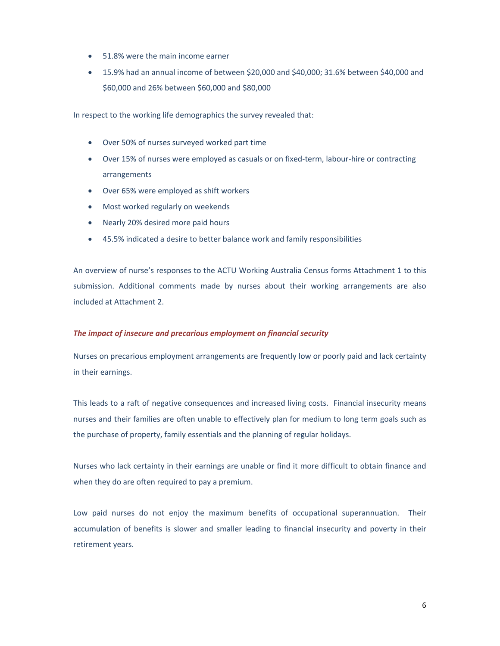- 51.8% were the main income earner
- 15.9% had an annual income of between \$20,000 and \$40,000; 31.6% between \$40,000 and \$60,000 and 26% between \$60,000 and \$80,000

In respect to the working life demographics the survey revealed that:

- Over 50% of nurses surveyed worked part time
- Over 15% of nurses were employed as casuals or on fixed-term, labour-hire or contracting arrangements
- Over 65% were employed as shift workers
- Most worked regularly on weekends
- Nearly 20% desired more paid hours
- 45.5% indicated a desire to better balance work and family responsibilities

An overview of nurse's responses to the ACTU Working Australia Census forms Attachment 1 to this submission. Additional comments made by nurses about their working arrangements are also included at Attachment 2.

#### *The impact of insecure and precarious employment on financial security*

Nurses on precarious employment arrangements are frequently low or poorly paid and lack certainty in their earnings.

This leads to a raft of negative consequences and increased living costs. Financial insecurity means nurses and their families are often unable to effectively plan for medium to long term goals such as the purchase of property, family essentials and the planning of regular holidays.

Nurses who lack certainty in their earnings are unable or find it more difficult to obtain finance and when they do are often required to pay a premium.

Low paid nurses do not enjoy the maximum benefits of occupational superannuation. Their accumulation of benefits is slower and smaller leading to financial insecurity and poverty in their retirement years.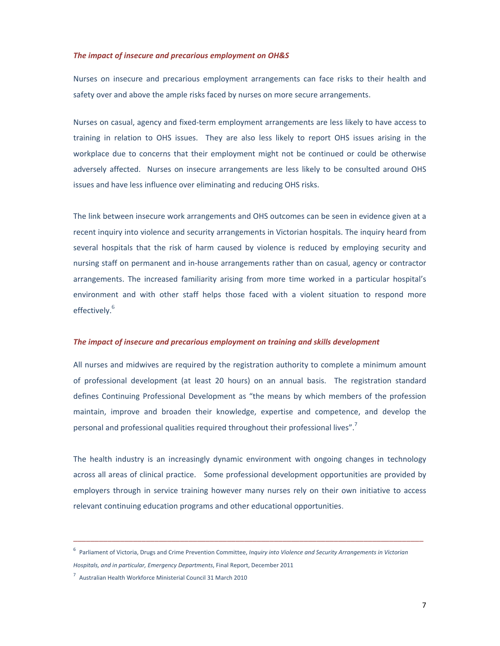#### *The impact of insecure and precarious employment on OH&S*

Nurses on insecure and precarious employment arrangements can face risks to their health and safety over and above the ample risks faced by nurses on more secure arrangements.

Nurses on casual, agency and fixed‐term employment arrangements are less likely to have access to training in relation to OHS issues. They are also less likely to report OHS issues arising in the workplace due to concerns that their employment might not be continued or could be otherwise adversely affected. Nurses on insecure arrangements are less likely to be consulted around OHS issues and have less influence over eliminating and reducing OHS risks.

The link between insecure work arrangements and OHS outcomes can be seen in evidence given at a recent inquiry into violence and security arrangements in Victorian hospitals. The inquiry heard from several hospitals that the risk of harm caused by violence is reduced by employing security and nursing staff on permanent and in‐house arrangements rather than on casual, agency or contractor arrangements. The increased familiarity arising from more time worked in a particular hospital's environment and with other staff helps those faced with a violent situation to respond more effectively. 6

#### *The impact of insecure and precarious employment on training and skills development*

All nurses and midwives are required by the registration authority to complete a minimum amount of professional development (at least 20 hours) on an annual basis. The registration standard defines Continuing Professional Development as "the means by which members of the profession maintain, improve and broaden their knowledge, expertise and competence, and develop the personal and professional qualities required throughout their professional lives".<sup>7</sup>

The health industry is an increasingly dynamic environment with ongoing changes in technology across all areas of clinical practice. Some professional development opportunities are provided by employers through in service training however many nurses rely on their own initiative to access relevant continuing education programs and other educational opportunities.

\_\_\_\_\_\_\_\_\_\_\_\_\_\_\_\_\_\_\_\_\_\_\_\_\_\_\_\_\_\_\_\_\_\_\_\_\_\_\_\_\_\_\_\_\_\_\_\_\_\_\_\_\_\_\_\_\_\_\_\_\_\_\_\_\_\_\_\_\_\_\_\_\_\_\_\_\_\_\_\_\_\_

<sup>6</sup> Parliament of Victoria, Drugs and Crime Prevention Committee, *Inquiry into Violence and Security Arrangements in Victorian*

*Hospitals, and in particular, Emergency Departments*, Final Report, December 2011

<sup>7</sup> Australian Health Workforce Ministerial Council 31 March 2010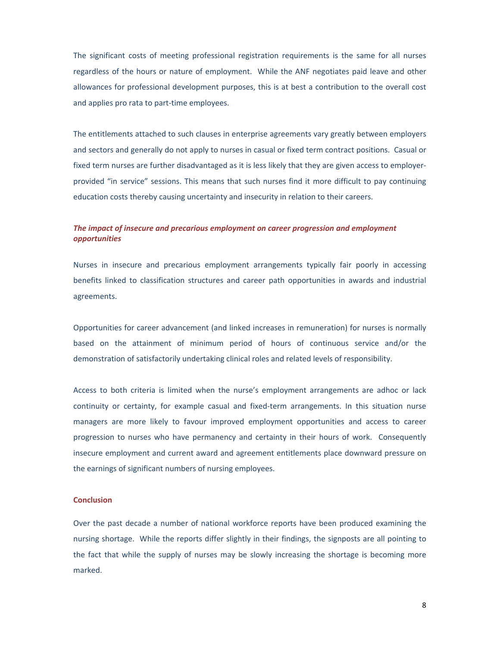The significant costs of meeting professional registration requirements is the same for all nurses regardless of the hours or nature of employment. While the ANF negotiates paid leave and other allowances for professional development purposes, this is at best a contribution to the overall cost and applies pro rata to part‐time employees.

The entitlements attached to such clauses in enterprise agreements vary greatly between employers and sectors and generally do not apply to nurses in casual or fixed term contract positions. Casual or fixed term nurses are further disadvantaged as it is less likely that they are given access to employer‐ provided "in service" sessions. This means that such nurses find it more difficult to pay continuing education costs thereby causing uncertainty and insecurity in relation to their careers.

#### *The impact of insecure and precarious employment on career progression and employment opportunities*

Nurses in insecure and precarious employment arrangements typically fair poorly in accessing benefits linked to classification structures and career path opportunities in awards and industrial agreements.

Opportunities for career advancement (and linked increases in remuneration) for nurses is normally based on the attainment of minimum period of hours of continuous service and/or the demonstration of satisfactorily undertaking clinical roles and related levels of responsibility.

Access to both criteria is limited when the nurse's employment arrangements are adhoc or lack continuity or certainty, for example casual and fixed-term arrangements. In this situation nurse managers are more likely to favour improved employment opportunities and access to career progression to nurses who have permanency and certainty in their hours of work. Consequently insecure employment and current award and agreement entitlements place downward pressure on the earnings of significant numbers of nursing employees.

#### **Conclusion**

Over the past decade a number of national workforce reports have been produced examining the nursing shortage. While the reports differ slightly in their findings, the signposts are all pointing to the fact that while the supply of nurses may be slowly increasing the shortage is becoming more marked.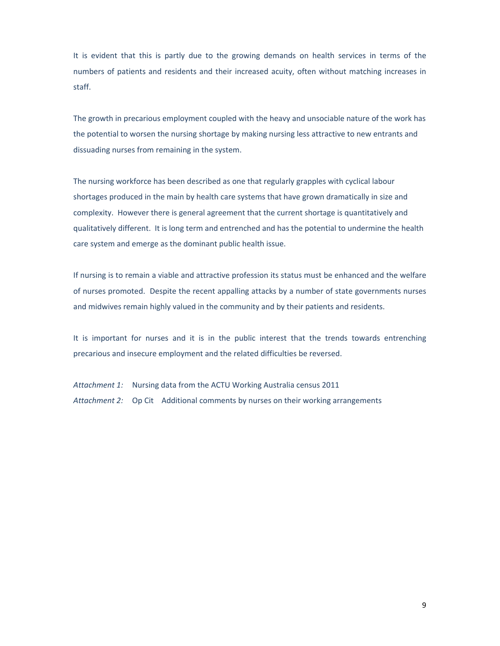It is evident that this is partly due to the growing demands on health services in terms of the numbers of patients and residents and their increased acuity, often without matching increases in staff.

The growth in precarious employment coupled with the heavy and unsociable nature of the work has the potential to worsen the nursing shortage by making nursing less attractive to new entrants and dissuading nurses from remaining in the system.

The nursing workforce has been described as one that regularly grapples with cyclical labour shortages produced in the main by health care systems that have grown dramatically in size and complexity. However there is general agreement that the current shortage is quantitatively and qualitatively different. It is long term and entrenched and has the potential to undermine the health care system and emerge as the dominant public health issue.

If nursing is to remain a viable and attractive profession its status must be enhanced and the welfare of nurses promoted. Despite the recent appalling attacks by a number of state governments nurses and midwives remain highly valued in the community and by their patients and residents.

It is important for nurses and it is in the public interest that the trends towards entrenching precarious and insecure employment and the related difficulties be reversed.

*Attachment 1:* Nursing data from the ACTU Working Australia census 2011 *Attachment 2:* Op Cit Additional comments by nurses on their working arrangements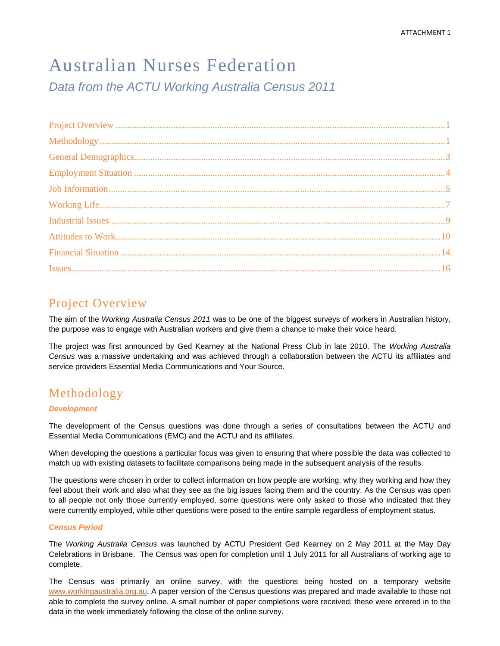# Australian Nurses Federation *Data from the ACTU Working Australia Census 2011*

# Project Overview

The aim of the *Working Australia Census 2011* was to be one of the biggest surveys of workers in Australian history, the purpose was to engage with Australian workers and give them a chance to make their voice heard.

The project was first announced by Ged Kearney at the National Press Club in late 2010. The *Working Australia Census* was a massive undertaking and was achieved through a collaboration between the ACTU its affiliates and service providers Essential Media Communications and Your Source.

# Methodology

#### *Development*

The development of the Census questions was done through a series of consultations between the ACTU and Essential Media Communications (EMC) and the ACTU and its affiliates.

When developing the questions a particular focus was given to ensuring that where possible the data was collected to match up with existing datasets to facilitate comparisons being made in the subsequent analysis of the results.

The questions were chosen in order to collect information on how people are working, why they working and how they feel about their work and also what they see as the big issues facing them and the country. As the Census was open to all people not only those currently employed, some questions were only asked to those who indicated that they were currently employed, while other questions were posed to the entire sample regardless of employment status.

#### *Census Period*

The *Working Australia Census* was launched by ACTU President Ged Kearney on 2 May 2011 at the May Day Celebrations in Brisbane. The Census was open for completion until 1 July 2011 for all Australians of working age to complete.

The Census was primarily an online survey, with the questions being hosted on a temporary website www.workingaustralia.org.au. A paper version of the Census questions was prepared and made available to those not able to complete the survey online. A small number of paper completions were received; these were entered in to the data in the week immediately following the close of the online survey.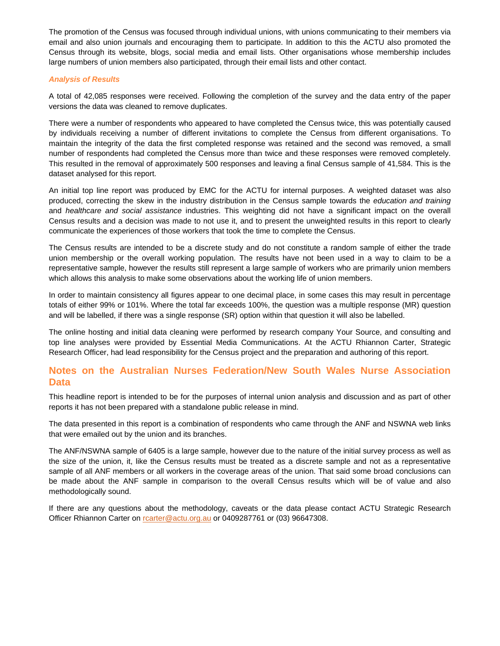The promotion of the Census was focused through individual unions, with unions communicating to their members via email and also union journals and encouraging them to participate. In addition to this the ACTU also promoted the Census through its website, blogs, social media and email lists. Other organisations whose membership includes large numbers of union members also participated, through their email lists and other contact.

#### *Analysis of Results*

A total of 42,085 responses were received. Following the completion of the survey and the data entry of the paper versions the data was cleaned to remove duplicates.

There were a number of respondents who appeared to have completed the Census twice, this was potentially caused by individuals receiving a number of different invitations to complete the Census from different organisations. To maintain the integrity of the data the first completed response was retained and the second was removed, a small number of respondents had completed the Census more than twice and these responses were removed completely. This resulted in the removal of approximately 500 responses and leaving a final Census sample of 41,584. This is the dataset analysed for this report.

An initial top line report was produced by EMC for the ACTU for internal purposes. A weighted dataset was also produced, correcting the skew in the industry distribution in the Census sample towards the *education and training* and *healthcare and social assistance* industries. This weighting did not have a significant impact on the overall Census results and a decision was made to not use it, and to present the unweighted results in this report to clearly communicate the experiences of those workers that took the time to complete the Census.

The Census results are intended to be a discrete study and do not constitute a random sample of either the trade union membership or the overall working population. The results have not been used in a way to claim to be a representative sample, however the results still represent a large sample of workers who are primarily union members which allows this analysis to make some observations about the working life of union members.

In order to maintain consistency all figures appear to one decimal place, in some cases this may result in percentage totals of either 99% or 101%. Where the total far exceeds 100%, the question was a multiple response (MR) question and will be labelled, if there was a single response (SR) option within that question it will also be labelled.

The online hosting and initial data cleaning were performed by research company Your Source, and consulting and top line analyses were provided by Essential Media Communications. At the ACTU Rhiannon Carter, Strategic Research Officer, had lead responsibility for the Census project and the preparation and authoring of this report.

## **Notes on the Australian Nurses Federation/New South Wales Nurse Association Data**

This headline report is intended to be for the purposes of internal union analysis and discussion and as part of other reports it has not been prepared with a standalone public release in mind.

The data presented in this report is a combination of respondents who came through the ANF and NSWNA web links that were emailed out by the union and its branches.

The ANF/NSWNA sample of 6405 is a large sample, however due to the nature of the initial survey process as well as the size of the union, it, like the Census results must be treated as a discrete sample and not as a representative sample of all ANF members or all workers in the coverage areas of the union. That said some broad conclusions can be made about the ANF sample in comparison to the overall Census results which will be of value and also methodologically sound.

If there are any questions about the methodology, caveats or the data please contact ACTU Strategic Research Officer Rhiannon Carter on rcarter@actu.org.au or 0409287761 or (03) 96647308.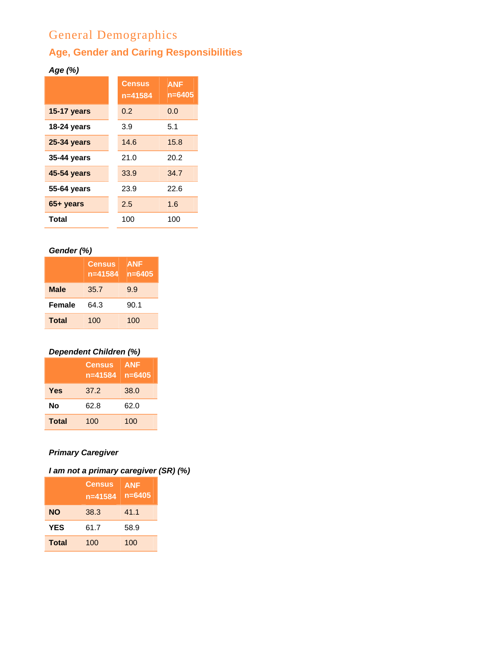# General Demographics

# **Age, Gender and Caring Responsibilities**

# *Age (%)*

|                    | <b>Census</b><br>$n = 41584$ | <b>ANF</b><br>$n = 6405$ |
|--------------------|------------------------------|--------------------------|
| <b>15-17 years</b> | 0.2                          | 0.0                      |
| 18-24 years        | 3.9                          | 5.1                      |
| 25-34 years        | 14.6                         | 15.8                     |
| 35-44 years        | 21.0                         | 20.2                     |
| 45-54 years        | 33.9                         | 34.7                     |
| 55-64 years        | 23.9                         | 22.6                     |
| 65+ years          | 2.5                          | 1.6                      |
| Total              | 100                          | 100                      |

# *Gender (%)*

|               | <b>Census</b><br>$n = 41584$ | <b>ANF</b><br>$n = 6405$ |
|---------------|------------------------------|--------------------------|
| <b>Male</b>   | 35.7                         | 9.9                      |
| <b>Female</b> | 64.3                         | 90.1                     |
| <b>Total</b>  | 100                          | 100                      |

# *Dependent Children (%)*

|              | <b>Census</b><br>$n = 41584$ | <b>ANF</b><br>$n = 6405$ |
|--------------|------------------------------|--------------------------|
| Yes          | 37.2                         | 38.0                     |
| No           | 62.8                         | 62.0                     |
| <b>Total</b> | 100                          | 100                      |

# *Primary Caregiver*

# *I am not a primary caregiver (SR) (%)*

|              | <b>Census</b><br>$n = 41584$ | <b>ANF</b><br>$n = 6405$ |
|--------------|------------------------------|--------------------------|
| <b>NO</b>    | 38.3                         | 41.1                     |
| <b>YES</b>   | 61.7                         | 58.9                     |
| <b>Total</b> | 100                          | 100                      |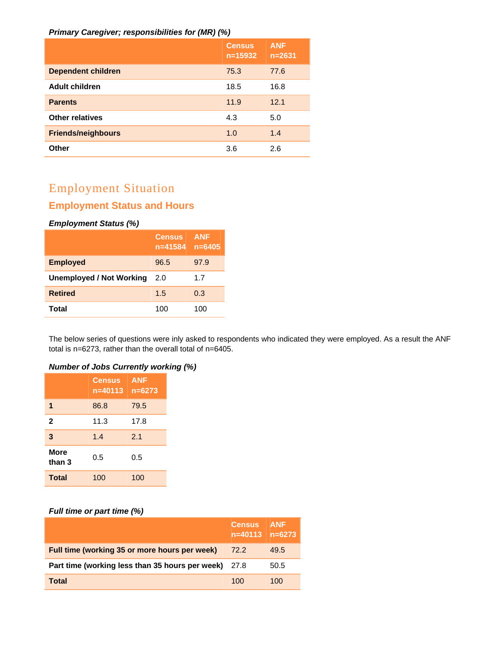#### *Primary Caregiver; responsibilities for (MR) (%)*

|                           | <b>Census</b><br>$n = 15932$ | <b>ANF</b><br>$n = 2631$ |
|---------------------------|------------------------------|--------------------------|
| <b>Dependent children</b> | 75.3                         | 77.6                     |
| <b>Adult children</b>     | 18.5                         | 16.8                     |
| <b>Parents</b>            | 11.9                         | 12.1                     |
| <b>Other relatives</b>    | 4.3                          | 5.0                      |
| <b>Friends/neighbours</b> | 1.0                          | 1.4                      |
| Other                     | 3.6                          | 2.6                      |

# Employment Situation

# **Employment Status and Hours**

#### *Employment Status (%)*

|                                 | <b>Census</b><br>$n = 41584$ | <b>ANF</b><br>$n = 6405$ |
|---------------------------------|------------------------------|--------------------------|
| <b>Employed</b>                 | 96.5                         | 97.9                     |
| <b>Unemployed / Not Working</b> | 2.0                          | 1.7                      |
| <b>Retired</b>                  | 1.5                          | 0.3                      |
| Total                           | 100                          | 100                      |

The below series of questions were inly asked to respondents who indicated they were employed. As a result the ANF total is n=6273, rather than the overall total of n=6405.

#### *Number of Jobs Currently working (%)*

|                       | <b>Census</b><br>$n = 40113$ | <b>ANF</b><br>$n = 6273$ |
|-----------------------|------------------------------|--------------------------|
| 1                     | 86.8                         | 79.5                     |
| $\mathbf{2}$          | 11.3                         | 17.8                     |
| 3                     | 1.4                          | 2.1                      |
| <b>More</b><br>than 3 | 0.5                          | 0.5                      |
| <b>Total</b>          | 100                          | 100                      |

#### *Full time or part time (%)*

|                                                             | <b>Census</b> ANF | $n = 6273$ |
|-------------------------------------------------------------|-------------------|------------|
| Full time (working 35 or more hours per week)               | 72.2              | 49.5       |
| <b>Part time (working less than 35 hours per week)</b> 27.8 |                   | 50.5       |
| <b>Total</b>                                                | 100               | 100        |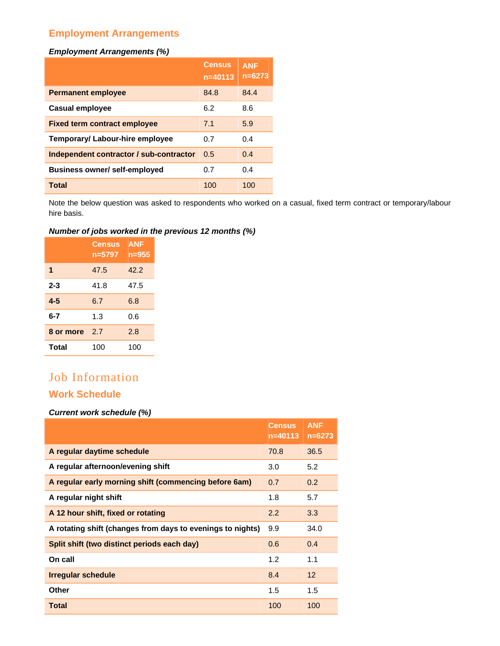# **Employment Arrangements**

#### *Employment Arrangements (%)*

|                                         | <b>Census</b><br>$n = 40113$ | <b>ANF</b><br>$n = 6273$ |
|-----------------------------------------|------------------------------|--------------------------|
| <b>Permanent employee</b>               | 84.8                         | 84.4                     |
| <b>Casual employee</b>                  | 6.2                          | 8.6                      |
| <b>Fixed term contract employee</b>     | 7.1                          | 5.9                      |
| <b>Temporary/ Labour-hire employee</b>  | 0.7                          | 0.4                      |
| Independent contractor / sub-contractor | 0.5                          | 0.4                      |
| <b>Business owner/self-employed</b>     | 0.7                          | 0.4                      |
| <b>Total</b>                            | 100                          | 100                      |

Note the below question was asked to respondents who worked on a casual, fixed term contract or temporary/labour hire basis.

## *Number of jobs worked in the previous 12 months (%)*

|           | <b>Census</b><br>n=5797 | <b>ANF</b><br>n=955 |
|-----------|-------------------------|---------------------|
| 1         | 47.5                    | 42.2                |
| $2 - 3$   | 41.8                    | 47.5                |
| $4 - 5$   | 6.7                     | 6.8                 |
| $6 - 7$   | 1.3                     | 0.6                 |
| 8 or more | 2.7                     | 2.8                 |
| Total     | 100                     | 100                 |

# Job Information

# **Work Schedule**

#### *Current work schedule (%)*

|                                                            | <b>Census</b><br>$n = 40113$ | <b>ANF</b><br>$n = 6273$ |
|------------------------------------------------------------|------------------------------|--------------------------|
| A regular daytime schedule                                 | 70.8                         | 36.5                     |
| A regular afternoon/evening shift                          | 3.0                          | 5.2                      |
| A regular early morning shift (commencing before 6am)      | 0.7                          | 0.2                      |
| A regular night shift                                      | 1.8                          | 5.7                      |
| A 12 hour shift, fixed or rotating                         | 2.2                          | 3.3                      |
| A rotating shift (changes from days to evenings to nights) | 9.9                          | 34.0                     |
| Split shift (two distinct periods each day)                | 0.6                          | 0.4                      |
| On call                                                    | 1.2                          | 1.1                      |
| <b>Irregular schedule</b>                                  | 8.4                          | 12                       |
| Other                                                      | 1.5                          | 1.5                      |
| <b>Total</b>                                               | 100                          | 100                      |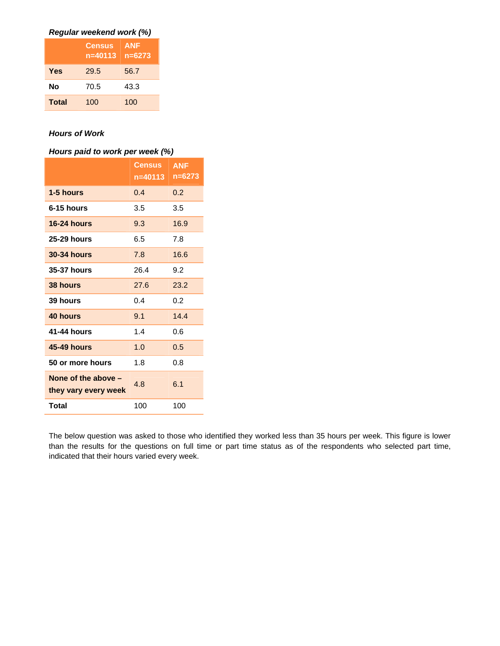| Regular weekend work (%) |  |  |  |  |
|--------------------------|--|--|--|--|
|--------------------------|--|--|--|--|

|              | <b>Census</b><br>$n = 40113$ | <b>ANF</b><br>$n = 6273$ |
|--------------|------------------------------|--------------------------|
| <b>Yes</b>   | 29.5                         | 56.7                     |
| No           | 70.5                         | 43.3                     |
| <b>Total</b> | 100                          | 100                      |

### *Hours of Work*

#### *Hours paid to work per week (%)*

|                                               | Census<br>n=40113 | <b>ANF</b><br>n=6273 |
|-----------------------------------------------|-------------------|----------------------|
| 1-5 hours                                     | 0.4               | 0.2                  |
| 6-15 hours                                    | 3.5               | 3.5                  |
| 16-24 hours                                   | 9.3               | 16.9                 |
| <b>25-29 hours</b>                            | 6.5               | 7.8                  |
| <b>30-34 hours</b>                            | 7.8               | 16.6                 |
| <b>35-37 hours</b>                            | 26.4              | 9.2                  |
| 38 hours                                      | 27.6              | 23.2                 |
| 39 hours                                      | 0.4               | 0.2                  |
| 40 hours                                      | 9.1               | 14.4                 |
| 41-44 hours                                   | 1.4               | 0.6                  |
| <b>45-49 hours</b>                            | 1.0               | 0.5                  |
| 50 or more hours                              | 1.8               | 0.8                  |
| None of the above $-$<br>they vary every week | 4.8               | 6.1                  |
| Total                                         | 100               | 100                  |

The below question was asked to those who identified they worked less than 35 hours per week. This figure is lower than the results for the questions on full time or part time status as of the respondents who selected part time, indicated that their hours varied every week.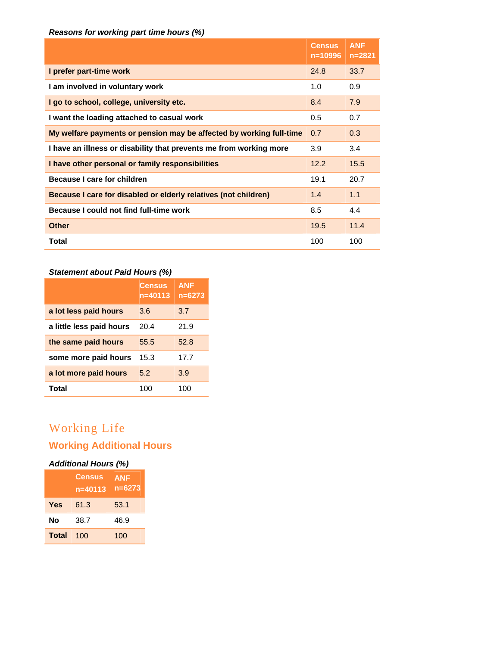## *Reasons for working part time hours (%)*

|                                                                     | <b>Census</b><br>$n = 10996$ | <b>ANF</b><br>$n = 2821$ |
|---------------------------------------------------------------------|------------------------------|--------------------------|
| I prefer part-time work                                             | 24.8                         | 33.7                     |
| I am involved in voluntary work                                     | 1.0                          | 0.9                      |
| I go to school, college, university etc.                            | 8.4                          | 7.9                      |
| I want the loading attached to casual work                          | 0.5                          | 0.7                      |
| My welfare payments or pension may be affected by working full-time | 0.7                          | 0.3                      |
| I have an illness or disability that prevents me from working more  | 3.9                          | 3.4                      |
| I have other personal or family responsibilities                    | 12.2                         | 15.5                     |
| Because I care for children                                         | 19.1                         | 20.7                     |
| Because I care for disabled or elderly relatives (not children)     | 1.4                          | 1.1                      |
| Because I could not find full-time work                             | 8.5                          | 4.4                      |
| <b>Other</b>                                                        | 19.5                         | 11.4                     |
| Total                                                               | 100                          | 100                      |

## *Statement about Paid Hours (%)*

|                          | <b>Census</b><br>$n = 40113$ | <b>ANF</b><br>$n = 6273$ |
|--------------------------|------------------------------|--------------------------|
| a lot less paid hours    | 3.6                          | 3.7                      |
| a little less paid hours | 20.4                         | 21.9                     |
| the same paid hours      | 55.5                         | 52.8                     |
| some more paid hours     | 15.3                         | 17.7                     |
| a lot more paid hours    | 5.2                          | 3.9                      |
| Total                    | 100                          | 100                      |

# Working Life

# **Working Additional Hours**

## *Additional Hours (%)*

|              | Census<br>$n = 40113$ | <b>ANF</b><br>n=6273 |
|--------------|-----------------------|----------------------|
| Yes          | 61.3                  | 53.1                 |
| No           | 38.7                  | 46.9                 |
| <b>Total</b> | 100                   | 100                  |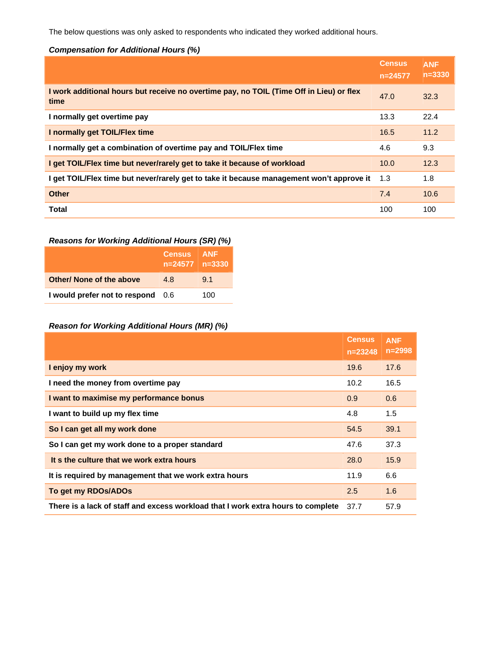The below questions was only asked to respondents who indicated they worked additional hours.

#### *Compensation for Additional Hours (%)*

|                                                                                                 | <b>Census</b><br>$n = 24577$ | <b>ANF</b><br>$n = 3330$ |
|-------------------------------------------------------------------------------------------------|------------------------------|--------------------------|
| I work additional hours but receive no overtime pay, no TOIL (Time Off in Lieu) or flex<br>time | 47.0                         | 32.3                     |
| I normally get overtime pay                                                                     | 13.3                         | 22.4                     |
| I normally get TOIL/Flex time                                                                   | 16.5                         | 11.2                     |
| I normally get a combination of overtime pay and TOIL/Flex time                                 | 4.6                          | 9.3                      |
| I get TOIL/Flex time but never/rarely get to take it because of workload                        | 10.0                         | 12.3                     |
| I get TOIL/Flex time but never/rarely get to take it because management won't approve it        | 1.3                          | 1.8                      |
| <b>Other</b>                                                                                    | 7.4                          | 10.6                     |
| <b>Total</b>                                                                                    | 100                          | 100                      |

# *Reasons for Working Additional Hours (SR) (%)*

|                                 | <b>Census</b><br>$n=24577$ $n=3330$ | <b>ANF</b> |
|---------------------------------|-------------------------------------|------------|
| <b>Other/ None of the above</b> | 48                                  | 9.1        |
| I would prefer not to respond   | - 0.6                               | 100        |

## *Reason for Working Additional Hours (MR) (%)*

|                                                                                  | <b>Census</b><br>$n = 23248$ | <b>ANF</b><br>$n = 2998$ |
|----------------------------------------------------------------------------------|------------------------------|--------------------------|
| I enjoy my work                                                                  | 19.6                         | 17.6                     |
| I need the money from overtime pay                                               | 10.2                         | 16.5                     |
| I want to maximise my performance bonus                                          | 0.9                          | 0.6                      |
| I want to build up my flex time                                                  | 4.8                          | 1.5                      |
| So I can get all my work done                                                    | 54.5                         | 39.1                     |
| So I can get my work done to a proper standard                                   | 47.6                         | 37.3                     |
| It s the culture that we work extra hours                                        | 28.0                         | 15.9                     |
| It is required by management that we work extra hours                            | 11.9                         | 6.6                      |
| To get my RDOs/ADOs                                                              | 2.5                          | 1.6                      |
| There is a lack of staff and excess workload that I work extra hours to complete | 37.7                         | 57.9                     |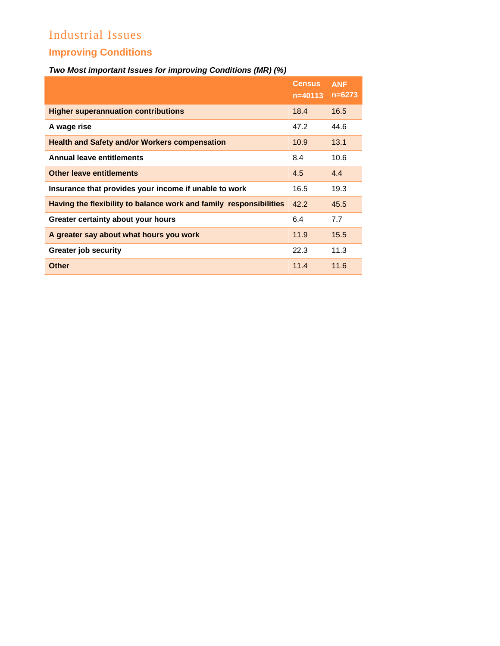# Industrial Issues **Improving Conditions**

# *Two Most important Issues for improving Conditions (MR) (%)*

|                                                                    | <b>Census</b><br>$n = 40113$ | <b>ANF</b><br>$n = 6273$ |
|--------------------------------------------------------------------|------------------------------|--------------------------|
| <b>Higher superannuation contributions</b>                         | 18.4                         | 16.5                     |
| A wage rise                                                        | 47.2                         | 44.6                     |
| <b>Health and Safety and/or Workers compensation</b>               | 10.9                         | 13.1                     |
| <b>Annual leave entitlements</b>                                   | 8.4                          | 10.6                     |
| <b>Other leave entitlements</b>                                    | 4.5                          | 4.4                      |
| Insurance that provides your income if unable to work              | 16.5                         | 19.3                     |
| Having the flexibility to balance work and family responsibilities | 42.2                         | 45.5                     |
| Greater certainty about your hours                                 | 6.4                          | 7.7                      |
| A greater say about what hours you work                            | 11.9                         | 15.5                     |
| <b>Greater job security</b>                                        | 22.3                         | 11.3                     |
| <b>Other</b>                                                       | 11.4                         | 11.6                     |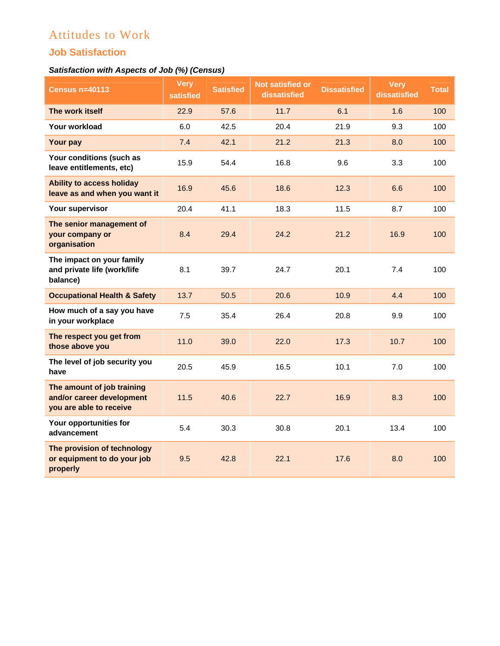# Attitudes to Work

# **Job Satisfaction**

# *Satisfaction with Aspects of Job (%) (Census)*

| <b>Census n=40113</b>                                                              | <b>Very</b><br>satisfied | <b>Satisfied</b> | <b>Not satisfied or</b><br>dissatisfied | <b>Dissatisfied</b> | <b>Very</b><br>dissatisfied | <b>Total</b> |
|------------------------------------------------------------------------------------|--------------------------|------------------|-----------------------------------------|---------------------|-----------------------------|--------------|
| The work itself                                                                    | 22.9                     | 57.6             | 11.7                                    | 6.1                 | 1.6                         | 100          |
| Your workload                                                                      | 6.0                      | 42.5             | 20.4                                    | 21.9                | 9.3                         | 100          |
| Your pay                                                                           | 7.4                      | 42.1             | 21.2                                    | 21.3                | 8.0                         | 100          |
| Your conditions (such as<br>leave entitlements, etc)                               | 15.9                     | 54.4             | 16.8                                    | 9.6                 | 3.3                         | 100          |
| <b>Ability to access holiday</b><br>leave as and when you want it                  | 16.9                     | 45.6             | 18.6                                    | 12.3                | 6.6                         | 100          |
| Your supervisor                                                                    | 20.4                     | 41.1             | 18.3                                    | 11.5                | 8.7                         | 100          |
| The senior management of<br>your company or<br>organisation                        | 8.4                      | 29.4             | 24.2                                    | 21.2                | 16.9                        | 100          |
| The impact on your family<br>and private life (work/life<br>balance)               | 8.1                      | 39.7             | 24.7                                    | 20.1                | 7.4                         | 100          |
| <b>Occupational Health &amp; Safety</b>                                            | 13.7                     | 50.5             | 20.6                                    | 10.9                | 4.4                         | 100          |
| How much of a say you have<br>in your workplace                                    | 7.5                      | 35.4             | 26.4                                    | 20.8                | 9.9                         | 100          |
| The respect you get from<br>those above you                                        | 11.0                     | 39.0             | 22.0                                    | 17.3                | 10.7                        | 100          |
| The level of job security you<br>have                                              | 20.5                     | 45.9             | 16.5                                    | 10.1                | 7.0                         | 100          |
| The amount of job training<br>and/or career development<br>you are able to receive | 11.5                     | 40.6             | 22.7                                    | 16.9                | 8.3                         | 100          |
| Your opportunities for<br>advancement                                              | 5.4                      | 30.3             | 30.8                                    | 20.1                | 13.4                        | 100          |
| The provision of technology<br>or equipment to do your job<br>properly             | 9.5                      | 42.8             | 22.1                                    | 17.6                | 8.0                         | 100          |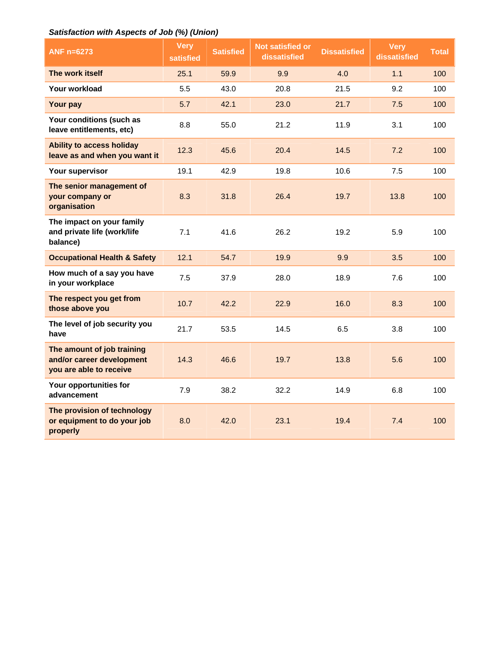## *Satisfaction with Aspects of Job (%) (Union)*

| ANF n=6273                                                                         | <b>Very</b><br>satisfied | <b>Satisfied</b> | Not satisfied or<br>dissatisfied | <b>Dissatisfied</b> | <b>Very</b><br>dissatisfied | <b>Total</b> |
|------------------------------------------------------------------------------------|--------------------------|------------------|----------------------------------|---------------------|-----------------------------|--------------|
| The work itself                                                                    | 25.1                     | 59.9             | 9.9                              | 4.0                 | 1.1                         | 100          |
| Your workload                                                                      | 5.5                      | 43.0             | 20.8                             | 21.5                | 9.2                         | 100          |
| Your pay                                                                           | 5.7                      | 42.1             | 23.0                             | 21.7                | 7.5                         | 100          |
| Your conditions (such as<br>leave entitlements, etc)                               | 8.8                      | 55.0             | 21.2                             | 11.9                | 3.1                         | 100          |
| <b>Ability to access holiday</b><br>leave as and when you want it                  | 12.3                     | 45.6             | 20.4                             | 14.5                | 7.2                         | 100          |
| Your supervisor                                                                    | 19.1                     | 42.9             | 19.8                             | 10.6                | 7.5                         | 100          |
| The senior management of<br>your company or<br>organisation                        | 8.3                      | 31.8             | 26.4                             | 19.7                | 13.8                        | 100          |
| The impact on your family<br>and private life (work/life<br>balance)               | 7.1                      | 41.6             | 26.2                             | 19.2                | 5.9                         | 100          |
| <b>Occupational Health &amp; Safety</b>                                            | 12.1                     | 54.7             | 19.9                             | 9.9                 | 3.5                         | 100          |
| How much of a say you have<br>in your workplace                                    | 7.5                      | 37.9             | 28.0                             | 18.9                | 7.6                         | 100          |
| The respect you get from<br>those above you                                        | 10.7                     | 42.2             | 22.9                             | 16.0                | 8.3                         | 100          |
| The level of job security you<br>have                                              | 21.7                     | 53.5             | 14.5                             | 6.5                 | 3.8                         | 100          |
| The amount of job training<br>and/or career development<br>you are able to receive | 14.3                     | 46.6             | 19.7                             | 13.8                | 5.6                         | 100          |
| Your opportunities for<br>advancement                                              | 7.9                      | 38.2             | 32.2                             | 14.9                | 6.8                         | 100          |
| The provision of technology<br>or equipment to do your job<br>properly             | 8.0                      | 42.0             | 23.1                             | 19.4                | 7.4                         | 100          |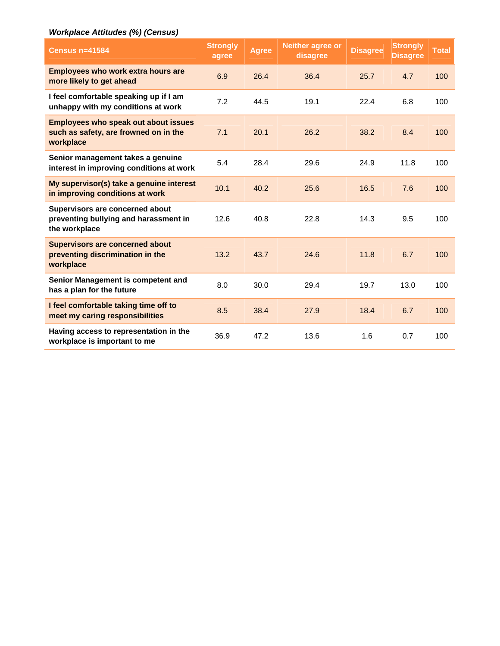## *Workplace Attitudes (%) (Census)*

| <b>Census n=41584</b>                                                                             | <b>Strongly</b><br>agree | <b>Agree</b> | <b>Neither agree or</b><br>disagree | <b>Disagree</b> | <b>Strongly</b><br><b>Disagree</b> | <b>Total</b> |
|---------------------------------------------------------------------------------------------------|--------------------------|--------------|-------------------------------------|-----------------|------------------------------------|--------------|
| <b>Employees who work extra hours are</b><br>more likely to get ahead                             | 6.9                      | 26.4         | 36.4                                | 25.7            | 4.7                                | 100          |
| I feel comfortable speaking up if I am<br>unhappy with my conditions at work                      | 7.2                      | 44.5         | 19.1                                | 22.4            | 6.8                                | 100          |
| <b>Employees who speak out about issues</b><br>such as safety, are frowned on in the<br>workplace | 7.1                      | 20.1         | 26.2                                | 38.2            | 8.4                                | 100          |
| Senior management takes a genuine<br>interest in improving conditions at work                     | 5.4                      | 28.4         | 29.6                                | 24.9            | 11.8                               | 100          |
| My supervisor(s) take a genuine interest<br>in improving conditions at work                       | 10.1                     | 40.2         | 25.6                                | 16.5            | 7.6                                | 100          |
| Supervisors are concerned about<br>preventing bullying and harassment in<br>the workplace         | 12.6                     | 40.8         | 22.8                                | 14.3            | 9.5                                | 100          |
| <b>Supervisors are concerned about</b><br>preventing discrimination in the<br>workplace           | 13.2                     | 43.7         | 24.6                                | 11.8            | 6.7                                | 100          |
| Senior Management is competent and<br>has a plan for the future                                   | 8.0                      | 30.0         | 29.4                                | 19.7            | 13.0                               | 100          |
| I feel comfortable taking time off to<br>meet my caring responsibilities                          | 8.5                      | 38.4         | 27.9                                | 18.4            | 6.7                                | 100          |
| Having access to representation in the<br>workplace is important to me                            | 36.9                     | 47.2         | 13.6                                | 1.6             | 0.7                                | 100          |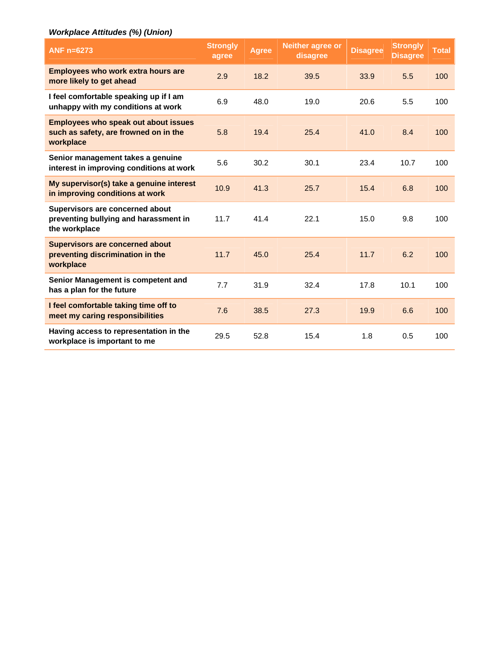# *Workplace Attitudes (%) (Union)*

| ANF n=6273                                                                                        | <b>Strongly</b><br>agree | <b>Agree</b> | <b>Neither agree or</b><br>disagree | <b>Disagree</b> | <b>Strongly</b><br><b>Disagree</b> | <b>Total</b> |
|---------------------------------------------------------------------------------------------------|--------------------------|--------------|-------------------------------------|-----------------|------------------------------------|--------------|
| <b>Employees who work extra hours are</b><br>more likely to get ahead                             | 2.9                      | 18.2         | 39.5                                | 33.9            | 5.5                                | 100          |
| I feel comfortable speaking up if I am<br>unhappy with my conditions at work                      | 6.9                      | 48.0         | 19.0                                | 20.6            | 5.5                                | 100          |
| <b>Employees who speak out about issues</b><br>such as safety, are frowned on in the<br>workplace | 5.8                      | 19.4         | 25.4                                | 41.0            | 8.4                                | 100          |
| Senior management takes a genuine<br>interest in improving conditions at work                     | 5.6                      | 30.2         | 30.1                                | 23.4            | 10.7                               | 100          |
| My supervisor(s) take a genuine interest<br>in improving conditions at work                       | 10.9                     | 41.3         | 25.7                                | 15.4            | 6.8                                | 100          |
| Supervisors are concerned about<br>preventing bullying and harassment in<br>the workplace         | 11.7                     | 41.4         | 22.1                                | 15.0            | 9.8                                | 100          |
| <b>Supervisors are concerned about</b><br>preventing discrimination in the<br>workplace           | 11.7                     | 45.0         | 25.4                                | 11.7            | 6.2                                | 100          |
| Senior Management is competent and<br>has a plan for the future                                   | 7.7                      | 31.9         | 32.4                                | 17.8            | 10.1                               | 100          |
| I feel comfortable taking time off to<br>meet my caring responsibilities                          | 7.6                      | 38.5         | 27.3                                | 19.9            | 6.6                                | 100          |
| Having access to representation in the<br>workplace is important to me                            | 29.5                     | 52.8         | 15.4                                | 1.8             | 0.5                                | 100          |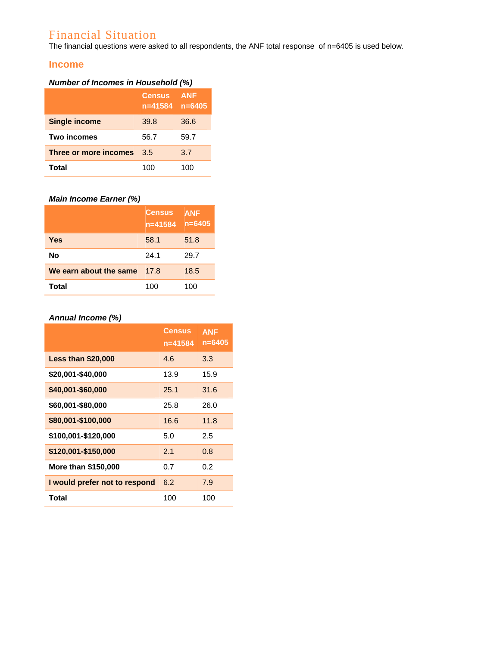# Financial Situation

The financial questions were asked to all respondents, the ANF total response of n=6405 is used below.

## **Income**

# *Number of Incomes in Household (%)*

|                       | <b>Census</b><br>$n = 41584$ | <b>ANF</b><br>$n = 6405$ |
|-----------------------|------------------------------|--------------------------|
| <b>Single income</b>  | 39.8                         | 36.6                     |
| <b>Two incomes</b>    | 56.7                         | 59.7                     |
| Three or more incomes | 3.5                          | 3.7                      |
| Total                 | 100                          | 100                      |

## *Main Income Earner (%)*

|                        | <b>Census</b><br>n=41584 | <b>ANF</b><br>$n = 6405$ |
|------------------------|--------------------------|--------------------------|
| Yes                    | 58.1                     | 51.8                     |
| Nο                     | 24.1                     | 29.7                     |
| We earn about the same | 17.8                     | 18.5                     |
| Total                  | 100                      | 100                      |

# *Annual Income (%)*

|                               | <b>Census</b><br>n=41584 | <b>ANF</b><br>n=6405 |
|-------------------------------|--------------------------|----------------------|
| <b>Less than \$20,000</b>     | 4.6                      | 3.3                  |
| \$20,001-\$40,000             | 13.9                     | 15.9                 |
| \$40,001-\$60,000             | 25.1                     | 31.6                 |
| \$60,001-\$80,000             | 25.8                     | 26.0                 |
| \$80,001-\$100,000            | 16.6                     | 11.8                 |
| \$100,001-\$120,000           | 5.0                      | 2.5                  |
| \$120,001-\$150,000           | 2.1                      | 0.8                  |
| More than \$150,000           | 0.7                      | 0.2                  |
| I would prefer not to respond | 6.2                      | 7.9                  |
| Total                         | 100                      | 100                  |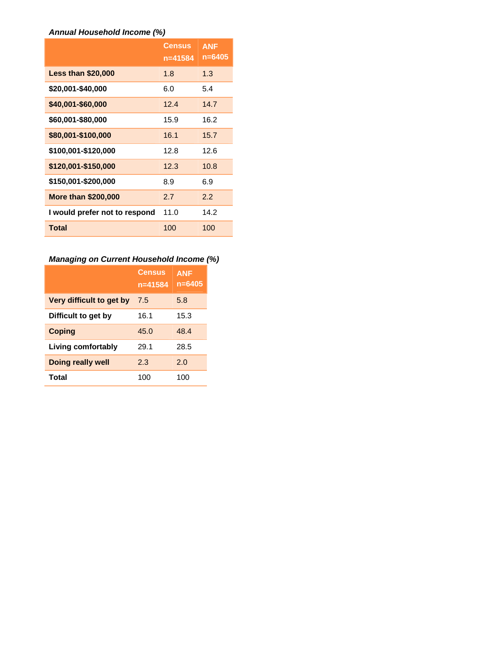#### *Annual Household Income (%)*

|                               | <b>Census</b><br>n=41584 | <b>ANF</b><br>$n = 6405$ |
|-------------------------------|--------------------------|--------------------------|
| <b>Less than \$20,000</b>     | 1.8                      | 1.3                      |
| \$20,001-\$40,000             | 6.0                      | 5.4                      |
| \$40,001-\$60,000             | 12.4                     | 14.7                     |
| \$60,001-\$80,000             | 15.9                     | 16.2                     |
| \$80,001-\$100,000            | 16.1                     | 15.7                     |
| \$100,001-\$120,000           | 12.8                     | 12.6                     |
| \$120,001-\$150,000           | 12.3                     | 10.8                     |
| \$150,001-\$200,000           | 8.9                      | 6.9                      |
| <b>More than \$200,000</b>    | 2.7                      | 2.2                      |
| I would prefer not to respond | 11.0                     | 14.2                     |
| <b>Total</b>                  | 100                      | 100                      |

# *Managing on Current Household Income (%)*

|                          | <b>Census</b><br>n=41584 | <b>ANF</b><br>$n = 6405$ |
|--------------------------|--------------------------|--------------------------|
| Very difficult to get by | 7.5                      | 5.8                      |
| Difficult to get by      | 16.1                     | 15.3                     |
| <b>Coping</b>            | 45.0                     | 48.4                     |
| Living comfortably       | 29.1                     | 28.5                     |
| Doing really well        | 2.3                      | 2.0                      |
| Total                    | 100                      | 100                      |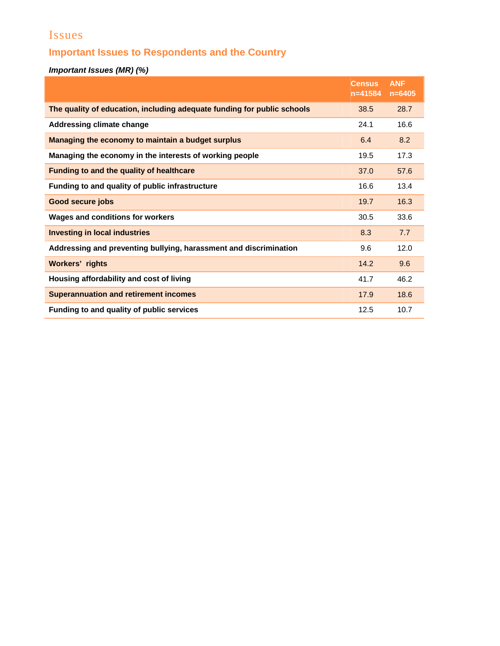# Issues

# **Important Issues to Respondents and the Country**

*Important Issues (MR) (%)* 

|                                                                         | <b>Census</b><br>$n = 41584$ | <b>ANF</b><br>$n = 6405$ |
|-------------------------------------------------------------------------|------------------------------|--------------------------|
| The quality of education, including adequate funding for public schools | 38.5                         | 28.7                     |
| <b>Addressing climate change</b>                                        | 24.1                         | 16.6                     |
| Managing the economy to maintain a budget surplus                       | 6.4                          | 8.2                      |
| Managing the economy in the interests of working people                 | 19.5                         | 17.3                     |
| Funding to and the quality of healthcare                                | 37.0                         | 57.6                     |
| Funding to and quality of public infrastructure                         | 16.6                         | 13.4                     |
| <b>Good secure jobs</b>                                                 | 19.7                         | 16.3                     |
| <b>Wages and conditions for workers</b>                                 | 30.5                         | 33.6                     |
| <b>Investing in local industries</b>                                    | 8.3                          | 7.7                      |
| Addressing and preventing bullying, harassment and discrimination       | 9.6                          | 12.0                     |
| <b>Workers' rights</b>                                                  | 14.2                         | 9.6                      |
| Housing affordability and cost of living                                | 41.7                         | 46.2                     |
| <b>Superannuation and retirement incomes</b>                            | 17.9                         | 18.6                     |
| Funding to and quality of public services                               | 12.5                         | 10.7                     |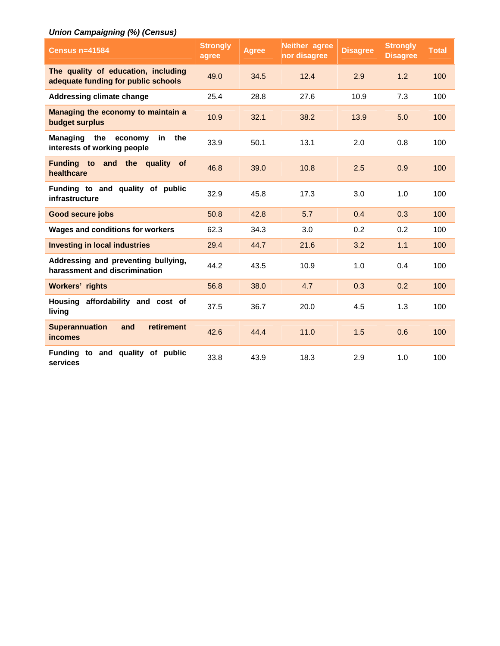# *Union Campaigning (%) (Census)*

| <b>Census n=41584</b>                                                          | <b>Strongly</b><br>agree | <b>Agree</b> | <b>Neither agree</b><br>nor disagree | <b>Disagree</b> | <b>Strongly</b><br><b>Disagree</b> | <b>Total</b> |
|--------------------------------------------------------------------------------|--------------------------|--------------|--------------------------------------|-----------------|------------------------------------|--------------|
| The quality of education, including<br>adequate funding for public schools     | 49.0                     | 34.5         | 12.4                                 | 2.9             | 1.2                                | 100          |
| <b>Addressing climate change</b>                                               | 25.4                     | 28.8         | 27.6                                 | 10.9            | 7.3                                | 100          |
| Managing the economy to maintain a<br>budget surplus                           | 10.9                     | 32.1         | 38.2                                 | 13.9            | 5.0                                | 100          |
| the<br><b>Managing</b><br>the<br>economy<br>in.<br>interests of working people | 33.9                     | 50.1         | 13.1                                 | 2.0             | 0.8                                | 100          |
| Funding to and the<br>quality of<br>healthcare                                 | 46.8                     | 39.0         | 10.8                                 | 2.5             | 0.9                                | 100          |
| Funding to and quality of public<br>infrastructure                             | 32.9                     | 45.8         | 17.3                                 | 3.0             | 1.0                                | 100          |
| <b>Good secure jobs</b>                                                        | 50.8                     | 42.8         | 5.7                                  | 0.4             | 0.3                                | 100          |
| Wages and conditions for workers                                               | 62.3                     | 34.3         | 3.0                                  | 0.2             | 0.2                                | 100          |
| <b>Investing in local industries</b>                                           | 29.4                     | 44.7         | 21.6                                 | 3.2             | 1.1                                | 100          |
| Addressing and preventing bullying,<br>harassment and discrimination           | 44.2                     | 43.5         | 10.9                                 | 1.0             | 0.4                                | 100          |
| <b>Workers' rights</b>                                                         | 56.8                     | 38.0         | 4.7                                  | 0.3             | 0.2                                | 100          |
| Housing affordability and cost of<br>living                                    | 37.5                     | 36.7         | 20.0                                 | 4.5             | 1.3                                | 100          |
| <b>Superannuation</b><br>retirement<br>and<br><b>incomes</b>                   | 42.6                     | 44.4         | 11.0                                 | 1.5             | 0.6                                | 100          |
| Funding to and quality of public<br>services                                   | 33.8                     | 43.9         | 18.3                                 | 2.9             | 1.0                                | 100          |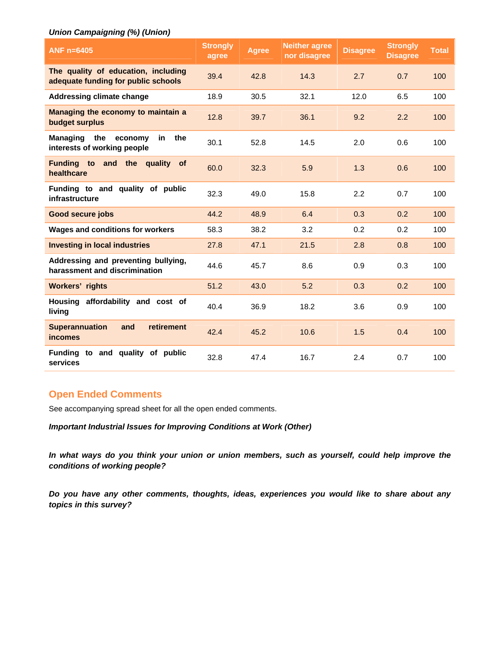#### *Union Campaigning (%) (Union)*

| ANF $n=6405$                                                                  | <b>Strongly</b><br>agree | <b>Agree</b> | <b>Neither agree</b><br>nor disagree | <b>Disagree</b> | <b>Strongly</b><br><b>Disagree</b> | <b>Total</b> |
|-------------------------------------------------------------------------------|--------------------------|--------------|--------------------------------------|-----------------|------------------------------------|--------------|
| The quality of education, including<br>adequate funding for public schools    | 39.4                     | 42.8         | 14.3                                 | 2.7             | 0.7                                | 100          |
| <b>Addressing climate change</b>                                              | 18.9                     | 30.5         | 32.1                                 | 12.0            | 6.5                                | 100          |
| Managing the economy to maintain a<br>budget surplus                          | 12.8                     | 39.7         | 36.1                                 | 9.2             | 2.2                                | 100          |
| <b>Managing</b><br>the<br>economy<br>the<br>in<br>interests of working people | 30.1                     | 52.8         | 14.5                                 | 2.0             | 0.6                                | 100          |
| Funding to and the quality<br><b>of</b><br>healthcare                         | 60.0                     | 32.3         | 5.9                                  | 1.3             | 0.6                                | 100          |
| Funding to and quality of public<br>infrastructure                            | 32.3                     | 49.0         | 15.8                                 | 2.2             | 0.7                                | 100          |
| <b>Good secure jobs</b>                                                       | 44.2                     | 48.9         | 6.4                                  | 0.3             | 0.2                                | 100          |
| <b>Wages and conditions for workers</b>                                       | 58.3                     | 38.2         | 3.2                                  | 0.2             | 0.2                                | 100          |
| <b>Investing in local industries</b>                                          | 27.8                     | 47.1         | 21.5                                 | 2.8             | 0.8                                | 100          |
| Addressing and preventing bullying,<br>harassment and discrimination          | 44.6                     | 45.7         | 8.6                                  | 0.9             | 0.3                                | 100          |
| <b>Workers' rights</b>                                                        | 51.2                     | 43.0         | 5.2                                  | 0.3             | 0.2                                | 100          |
| Housing affordability and cost of<br>living                                   | 40.4                     | 36.9         | 18.2                                 | 3.6             | 0.9                                | 100          |
| <b>Superannuation</b><br>retirement<br>and<br><b>incomes</b>                  | 42.4                     | 45.2         | 10.6                                 | 1.5             | 0.4                                | 100          |
| Funding to and quality of public<br>services                                  | 32.8                     | 47.4         | 16.7                                 | 2.4             | 0.7                                | 100          |

## **Open Ended Comments**

See accompanying spread sheet for all the open ended comments.

*Important Industrial Issues for Improving Conditions at Work (Other)* 

*In what ways do you think your union or union members, such as yourself, could help improve the conditions of working people?* 

*Do you have any other comments, thoughts, ideas, experiences you would like to share about any topics in this survey?*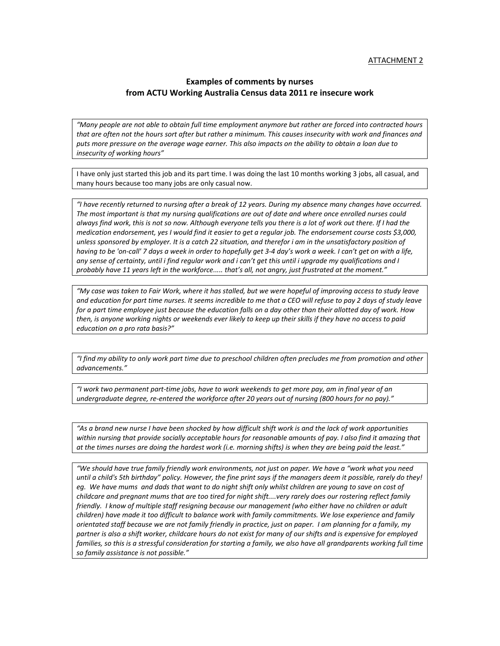#### ATTACHMENT 2

#### **Examples of comments by nurses from ACTU Working Australia Census data 2011 re insecure work**

"Many people are not able to obtain full time employment anymore but rather are forced into contracted hours that are often not the hours sort after but rather a minimum. This causes insecurity with work and finances and puts more pressure on the average wage earner. This also impacts on the ability to obtain a loan due to *insecurity of working hours"*

I have only just started this job and its part time. I was doing the last 10 months working 3 jobs, all casual, and many hours because too many jobs are only casual now.

"I have recently returned to nursing after a break of 12 years. During my absence many changes have occurred. The most important is that my nursing qualifications are out of date and where once enrolled nurses could always find work, this is not so now. Although everyone tells you there is a lot of work out there. If I had the medication endorsement, yes I would find it easier to get a regular job. The endorsement course costs \$3,000, unless sponsored by employer. It is a catch 22 situation, and therefor i am in the unsatisfactory position of having to be 'on-call' 7 days a week in order to hopefully get 3-4 day's work a week. I can't get on with a life, any sense of certainty, until i find regular work and i can't get this until i upgrade my qualifications and I *probably have 11 years left in the workforce..... that's all, not angry, just frustrated at the moment."*

"My case was taken to Fair Work, where it has stalled, but we were hopeful of improving access to study leave and education for part time nurses. It seems incredible to me that a CEO will refuse to pay 2 days of study leave for a part time employee just because the education falls on a day other than their allotted day of work. How then, is anyone working nights or weekends ever likely to keep up their skills if they have no access to paid *education on a pro rata basis?"*

"I find my ability to only work part time due to preschool children often precludes me from promotion and other *advancements."* 

"I work two permanent part-time jobs, have to work weekends to get more pay, am in final year of an undergraduate degree, re-entered the workforce after 20 years out of nursing (800 hours for no pay)."

"As a brand new nurse I have been shocked by how difficult shift work is and the lack of work opportunities within nursing that provide socially acceptable hours for reasonable amounts of pay. I also find it amazing that at the times nurses are doing the hardest work (i.e. morning shifts) is when they are being paid the least."

"We should have true family friendly work environments, not just on paper. We have a "work what you need until a child's 5th birthday" policy. However, the fine print says if the managers deem it possible, rarely do they! eg. We have mums and dads that want to do night shift only whilst children are young to save on cost of childcare and pregnant mums that are too tired for night shift....very rarely does our rostering reflect family friendly. I know of multiple staff resigning because our management (who either have no children or adult children) have made it too difficult to balance work with family commitments. We lose experience and family orientated staff because we are not family friendly in practice, just on paper. I am planning for a family, my partner is also a shift worker, childcare hours do not exist for many of our shifts and is expensive for employed families, so this is a stressful consideration for starting a family, we also have all grandparents working full time *so family assistance is not possible."*